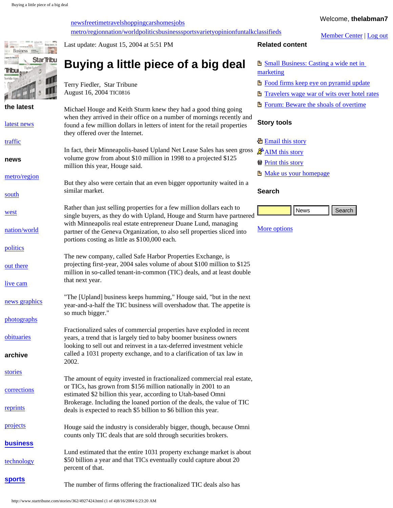[news](http://www.startribune.com/)[freetime](http://www.startribune.com/freetime)[travel](http://www.startribune.com/travel)[shopping](http://www.startribune.com/shopping)[cars](http://www.startribune.com/cars)[homes](http://www.startribune.com/homes)[jobs](http://www.startribune.com/jobs) [metro/region](http://www.startribune.com/metro)[nation/world](http://www.startribune.com/nationworld)[politics](http://www.startribune.com/politics)[business](http://www.startribune.com/business)[sports](http://www.startribune.com/sports)[variety](http://www.startribune.com/variety)[opinion](http://www.startribune.com/opinion)[fun](http://www.startribune.com/fungames)[talk](http://www.startribune.com/talk)[classifieds](http://www.startribune.com/classifieds) Welcome, **thelabman7**

[Member Center](http://24hour.startribune.com/login/membercenter) | [Log out](http://24hour.startribune.com/register-bin/signup.pl.cgi?mode=logout)

<span id="page-0-0"></span>

| <b>Business</b> |                 |  |
|-----------------|-----------------|--|
|                 | <b>StarTrib</b> |  |
| <b>Tribut</b>   |                 |  |
|                 |                 |  |
|                 |                 |  |

**the latest** [latest news](http://www.startribune.com/stories/709)

[traffic](http://www.startribune.com/traffic)

**news**

[metro/region](http://www.startribune.com/metro)

[south](http://www.startribune.com/south)

[west](http://www.startribune.com/west)

[nation/world](http://www.startribune.com/nationworld)

[politics](http://www.startribune.com/politics)

[out there](http://www.startribune.com/outthere)

[live cam](http://www.startribune.com/stories/389/4328855.html)

[news graphics](http://www.startribune.com/stories/1608)

[photographs](http://www.startribune.com/photography)

[obituaries](http://www.startribune.com/obituaries)

**archive**

[stories](http://www.startribune.com/archives)

**[business](http://www.startribune.com/business)**

**[sports](http://www.startribune.com/sports)**

Last update: August 15, 2004 at 5:51 PM

# **Buying a little piece of a big deal**

Terry Fiedler, Star Tribune August 16, 2004 TIC0816

Michael Houge and Keith Sturm knew they had a good thing going when they arrived in their office on a number of mornings recently and found a few million dollars in letters of intent for the retail properties they offered over the Internet.

In fact, their Minneapolis-based Upland Net Lease Sales has seen gross volume grow from about \$10 million in 1998 to a projected \$125 million this year, Houge said.

But they also were certain that an even bigger opportunity waited in a similar market.

Rather than just selling properties for a few million dollars each to single buyers, as they do with Upland, Houge and Sturm have partnered with Minneapolis real estate entrepreneur Duane Lund, managing partner of the Geneva Organization, to also sell properties sliced into portions costing as little as \$100,000 each.

The new company, called Safe Harbor Properties Exchange, is projecting first-year, 2004 sales volume of about \$100 million to \$125 million in so-called tenant-in-common (TIC) deals, and at least double that next year.

"The [Upland] business keeps humming," Houge said, "but in the next year-and-a-half the TIC business will overshadow that. The appetite is so much bigger."

Fractionalized sales of commercial properties have exploded in recent years, a trend that is largely tied to baby boomer business owners looking to sell out and reinvest in a tax-deferred investment vehicle called a 1031 property exchange, and to a clarification of tax law in 2002.

**[corrections](http://www.startribune.com/corrections)** [reprints](http://www.startribune.com/reprints) The amount of equity invested in fractionalized commercial real estate, or TICs, has grown from \$156 million nationally in 2001 to an estimated \$2 billion this year, according to Utah-based Omni Brokerage. Including the loaned portion of the deals, the value of TIC deals is expected to reach \$5 billion to \$6 billion this year.  $\frac{mg}{dt}$  saturate band with the start and a start and the start and the start of 42 am minimum start of 4 of 4)82. The search of 5 am minimum space of 5 gauge that a start of 40 am news search of 6.23 AM News Search of 6

[projects](http://www.startribune.com/projects) Houge said the industry is considerably bigger, though, because Omni counts only TIC deals that are sold through securities brokers.

[technology](http://www.startribune.com/technology) Lund estimated that the entire 1031 property exchange market is about \$50 billion a year and that TICs eventually could capture about 20 percent of that.

The number of firms offering the fractionalized TIC deals also has

# **Related content**

**B** Small Business: Casting a wide net in [marketing](http://www.startribune.com/stories/535/4927264.html)

- **[Food firms keep eye on pyramid update](http://www.startribune.com/stories/1557/4927395.html)**
- **[Travelers wage war of wits over hotel rates](http://www.startribune.com/stories/535/4927362.html)**
- **Forum:** Beware the shoals of overtime

# **Story tools**

**[Email this story](http://www.startribune.com/viewers/email_article.php?story=4927424)** 

- $\mathbb{R}^4$  [AIM this story](aim://goim?message=check+this+story+out//www.startribune.com/stories/362/4927424)
- **[Print this story](http://www.startribune.com/viewers/story.php?template=print_a&story=4927424)**
- **E** [Make us your homepage](http://www.startribune.com/stories/776/3070885.html)

#### **Search**



## [More options](http://www.startribune.com/search)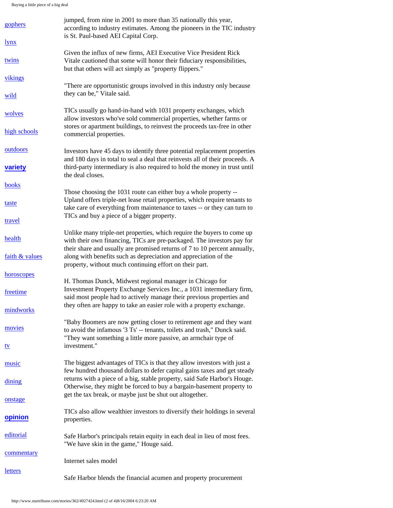Buying a little piece of a big deal

| gophers        | jumped, from nine in 2001 to more than 35 nationally this year,<br>according to industry estimates. Among the pioneers in the TIC industry<br>is St. Paul-based AEI Capital Corp.                                          |
|----------------|----------------------------------------------------------------------------------------------------------------------------------------------------------------------------------------------------------------------------|
| <u>lynx</u>    |                                                                                                                                                                                                                            |
| twins          | Given the influx of new firms, AEI Executive Vice President Rick<br>Vitale cautioned that some will honor their fiduciary responsibilities,<br>but that others will act simply as "property flippers."                     |
| vikings        |                                                                                                                                                                                                                            |
| wild           | "There are opportunistic groups involved in this industry only because<br>they can be," Vitale said.                                                                                                                       |
| wolves         | TICs usually go hand-in-hand with 1031 property exchanges, which<br>allow investors who've sold commercial properties, whether farms or                                                                                    |
| high schools   | stores or apartment buildings, to reinvest the proceeds tax-free in other<br>commercial properties.                                                                                                                        |
| outdoors       | Investors have 45 days to identify three potential replacement properties<br>and 180 days in total to seal a deal that reinvests all of their proceeds. A                                                                  |
| variety        | third-party intermediary is also required to hold the money in trust until<br>the deal closes.                                                                                                                             |
| books          |                                                                                                                                                                                                                            |
| taste          | Those choosing the 1031 route can either buy a whole property --<br>Upland offers triple-net lease retail properties, which require tenants to<br>take care of everything from maintenance to taxes -- or they can turn to |
| travel         | TICs and buy a piece of a bigger property.                                                                                                                                                                                 |
| health         | Unlike many triple-net properties, which require the buyers to come up<br>with their own financing, TICs are pre-packaged. The investors pay for                                                                           |
| faith & values | their share and usually are promised returns of 7 to 10 percent annually,<br>along with benefits such as depreciation and appreciation of the<br>property, without much continuing effort on their part.                   |
| horoscopes     |                                                                                                                                                                                                                            |
| freetime       | H. Thomas Dunck, Midwest regional manager in Chicago for<br>Investment Property Exchange Services Inc., a 1031 intermediary firm,<br>said most people had to actively manage their previous properties and                 |
| mindworks      | they often are happy to take an easier role with a property exchange.                                                                                                                                                      |
| movies         | "Baby Boomers are now getting closer to retirement age and they want<br>to avoid the infamous '3 Ts' -- tenants, toilets and trash," Dunck said.                                                                           |
| <u>tv</u>      | "They want something a little more passive, an armchair type of<br>investment."                                                                                                                                            |
| music          | The biggest advantages of TICs is that they allow investors with just a<br>few hundred thousand dollars to defer capital gains taxes and get steady                                                                        |
| dining         | returns with a piece of a big, stable property, said Safe Harbor's Houge.<br>Otherwise, they might be forced to buy a bargain-basement property to                                                                         |
| onstage        | get the tax break, or maybe just be shut out altogether.                                                                                                                                                                   |
| opinion        | TICs also allow wealthier investors to diversify their holdings in several<br>properties.                                                                                                                                  |
| editorial      | Safe Harbor's principals retain equity in each deal in lieu of most fees.<br>"We have skin in the game," Houge said.                                                                                                       |
| commentary     | Internet sales model                                                                                                                                                                                                       |
| <u>letters</u> | Safe Harbor blends the financial acumen and property procurement                                                                                                                                                           |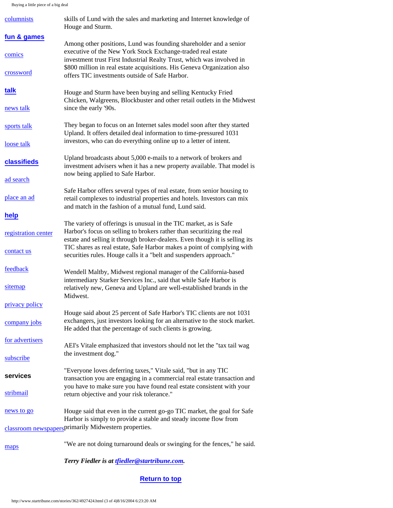Buying a little piece of a big deal

| columnists                                           | skills of Lund with the sales and marketing and Internet knowledge of<br>Houge and Sturm.                                                                                                                                                                                                            |  |
|------------------------------------------------------|------------------------------------------------------------------------------------------------------------------------------------------------------------------------------------------------------------------------------------------------------------------------------------------------------|--|
| fun & games                                          |                                                                                                                                                                                                                                                                                                      |  |
| comics                                               | Among other positions, Lund was founding shareholder and a senior<br>executive of the New York Stock Exchange-traded real estate<br>investment trust First Industrial Realty Trust, which was involved in                                                                                            |  |
| crossword                                            | \$800 million in real estate acquisitions. His Geneva Organization also<br>offers TIC investments outside of Safe Harbor.                                                                                                                                                                            |  |
| talk                                                 | Houge and Sturm have been buying and selling Kentucky Fried<br>Chicken, Walgreens, Blockbuster and other retail outlets in the Midwest                                                                                                                                                               |  |
| news talk                                            | since the early '90s.                                                                                                                                                                                                                                                                                |  |
| sports talk                                          | They began to focus on an Internet sales model soon after they started<br>Upland. It offers detailed deal information to time-pressured 1031<br>investors, who can do everything online up to a letter of intent.                                                                                    |  |
| loose talk                                           |                                                                                                                                                                                                                                                                                                      |  |
| classifieds                                          | Upland broadcasts about 5,000 e-mails to a network of brokers and<br>investment advisers when it has a new property available. That model is<br>now being applied to Safe Harbor.                                                                                                                    |  |
| ad search                                            |                                                                                                                                                                                                                                                                                                      |  |
| place an ad                                          | Safe Harbor offers several types of real estate, from senior housing to<br>retail complexes to industrial properties and hotels. Investors can mix<br>and match in the fashion of a mutual fund, Lund said.                                                                                          |  |
| help                                                 |                                                                                                                                                                                                                                                                                                      |  |
| registration center                                  | The variety of offerings is unusual in the TIC market, as is Safe<br>Harbor's focus on selling to brokers rather than securitizing the real<br>estate and selling it through broker-dealers. Even though it is selling its<br>TIC shares as real estate, Safe Harbor makes a point of complying with |  |
| contact us                                           | securities rules. Houge calls it a "belt and suspenders approach."                                                                                                                                                                                                                                   |  |
| feedback                                             | Wendell Maltby, Midwest regional manager of the California-based<br>intermediary Starker Services Inc., said that while Safe Harbor is                                                                                                                                                               |  |
| sitemap                                              | relatively new, Geneva and Upland are well-established brands in the<br>Midwest.                                                                                                                                                                                                                     |  |
| privacy policy                                       |                                                                                                                                                                                                                                                                                                      |  |
| company jobs                                         | Houge said about 25 percent of Safe Harbor's TIC clients are not 1031<br>exchangers, just investors looking for an alternative to the stock market.<br>He added that the percentage of such clients is growing.                                                                                      |  |
| for advertisers                                      | AEI's Vitale emphasized that investors should not let the "tax tail wag                                                                                                                                                                                                                              |  |
| subscribe                                            | the investment dog."                                                                                                                                                                                                                                                                                 |  |
| services                                             | "Everyone loves deferring taxes," Vitale said, "but in any TIC<br>transaction you are engaging in a commercial real estate transaction and                                                                                                                                                           |  |
| stribmail                                            | you have to make sure you have found real estate consistent with your<br>return objective and your risk tolerance."                                                                                                                                                                                  |  |
| news to go                                           | Houge said that even in the current go-go TIC market, the goal for Safe<br>Harbor is simply to provide a stable and steady income flow from                                                                                                                                                          |  |
| classroom newspapersprimarily Midwestern properties. |                                                                                                                                                                                                                                                                                                      |  |
| maps                                                 | "We are not doing turnaround deals or swinging for the fences," he said.                                                                                                                                                                                                                             |  |

*Terry Fiedler is at [tfiedler@startribune.com.](mailto:tfiedler@startribune.com)*

# **[Return to top](#page-0-0)**